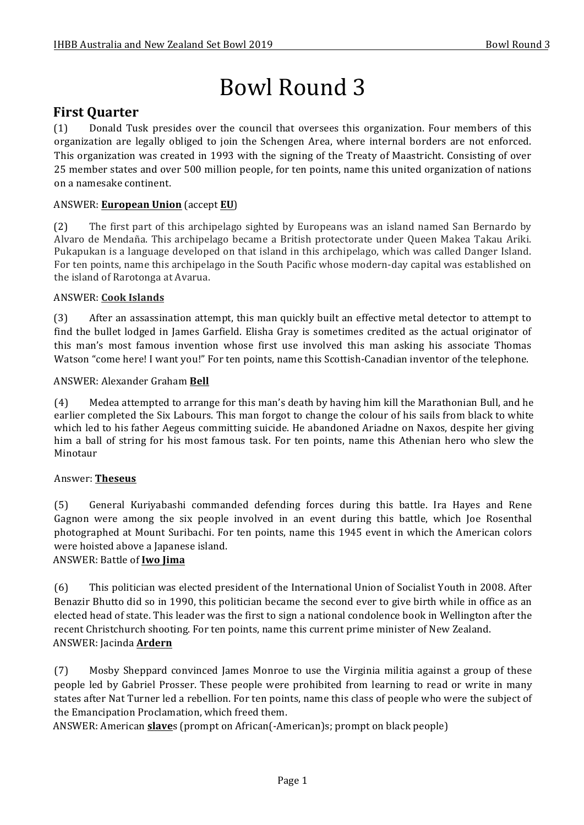# Bowl Round 3

# **First Ouarter**

(1) Donald Tusk presides over the council that oversees this organization. Four members of this organization are legally obliged to join the Schengen Area, where internal borders are not enforced. This organization was created in 1993 with the signing of the Treaty of Maastricht. Consisting of over 25 member states and over 500 million people, for ten points, name this united organization of nations on a namesake continent.

# ANSWER: **European Union** (accept **EU**)

(2) The first part of this archipelago sighted by Europeans was an island named San Bernardo by Alvaro de Mendaña. This archipelago became a British protectorate under Oueen Makea Takau Ariki. Pukapukan is a language developed on that island in this archipelago, which was called Danger Island. For ten points, name this archipelago in the South Pacific whose modern-day capital was established on the island of Rarotonga at Avarua.

#### ANSWER: **Cook Islands**

(3) After an assassination attempt, this man quickly built an effective metal detector to attempt to find the bullet lodged in James Garfield. Elisha Gray is sometimes credited as the actual originator of this man's most famous invention whose first use involved this man asking his associate Thomas Watson "come here! I want you!" For ten points, name this Scottish-Canadian inventor of the telephone.

#### ANSWER: Alexander Graham **Bell**

(4) Medea attempted to arrange for this man's death by having him kill the Marathonian Bull, and he earlier completed the Six Labours. This man forgot to change the colour of his sails from black to white which led to his father Aegeus committing suicide. He abandoned Ariadne on Naxos, despite her giving him a ball of string for his most famous task. For ten points, name this Athenian hero who slew the Minotaur

#### Answer: **Theseus**

(5) General Kuriyabashi commanded defending forces during this battle. Ira Hayes and Rene Gagnon were among the six people involved in an event during this battle, which Joe Rosenthal photographed at Mount Suribachi. For ten points, name this 1945 event in which the American colors were hoisted above a Japanese island.

# ANSWER: Battle of **Iwo Jima**

(6) This politician was elected president of the International Union of Socialist Youth in 2008. After Benazir Bhutto did so in 1990, this politician became the second ever to give birth while in office as an elected head of state. This leader was the first to sign a national condolence book in Wellington after the recent Christchurch shooting. For ten points, name this current prime minister of New Zealand. ANSWER: Jacinda **Ardern**

(7) Mosby Sheppard convinced James Monroe to use the Virginia militia against a group of these people led by Gabriel Prosser. These people were prohibited from learning to read or write in many states after Nat Turner led a rebellion. For ten points, name this class of people who were the subject of the Emancipation Proclamation, which freed them.

ANSWER: American **slave**s (prompt on African(-American)s; prompt on black people)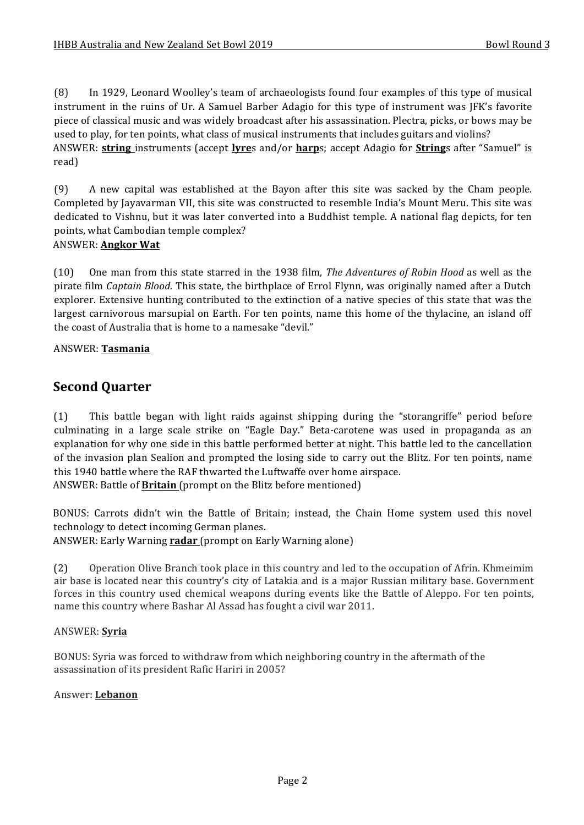(8) In 1929, Leonard Woolley's team of archaeologists found four examples of this type of musical instrument in the ruins of Ur. A Samuel Barber Adagio for this type of instrument was [FK's favorite piece of classical music and was widely broadcast after his assassination. Plectra, picks, or bows may be used to play, for ten points, what class of musical instruments that includes guitars and violins? ANSWER: **string** instruments (accept **lyre**s and/or **harp**s; accept Adagio for **String**s after "Samuel" is read)

(9) A new capital was established at the Bayon after this site was sacked by the Cham people. Completed by Jayavarman VII, this site was constructed to resemble India's Mount Meru. This site was dedicated to Vishnu, but it was later converted into a Buddhist temple. A national flag depicts, for ten points, what Cambodian temple complex?

#### ANSWER: **Angkor Wat**

(10) One man from this state starred in the 1938 film, *The Adventures of Robin Hood* as well as the pirate film *Captain Blood*. This state, the birthplace of Errol Flynn, was originally named after a Dutch explorer. Extensive hunting contributed to the extinction of a native species of this state that was the largest carnivorous marsupial on Earth. For ten points, name this home of the thylacine, an island off the coast of Australia that is home to a namesake "devil."

#### ANSWER: **Tasmania**

# **Second Quarter**

(1) This battle began with light raids against shipping during the "storangriffe" period before culminating in a large scale strike on "Eagle Day." Beta-carotene was used in propaganda as an explanation for why one side in this battle performed better at night. This battle led to the cancellation of the invasion plan Sealion and prompted the losing side to carry out the Blitz. For ten points, name this 1940 battle where the RAF thwarted the Luftwaffe over home airspace. ANSWER: Battle of **Britain** (prompt on the Blitz before mentioned)

BONUS: Carrots didn't win the Battle of Britain; instead, the Chain Home system used this novel

technology to detect incoming German planes.

ANSWER: Early Warning **radar** (prompt on Early Warning alone)

(2) Operation Olive Branch took place in this country and led to the occupation of Afrin. Khmeimim air base is located near this country's city of Latakia and is a major Russian military base. Government forces in this country used chemical weapons during events like the Battle of Aleppo. For ten points, name this country where Bashar Al Assad has fought a civil war 2011.

#### ANSWER: **Syria**

BONUS: Syria was forced to withdraw from which neighboring country in the aftermath of the assassination of its president Rafic Hariri in 2005?

#### Answer: **Lebanon**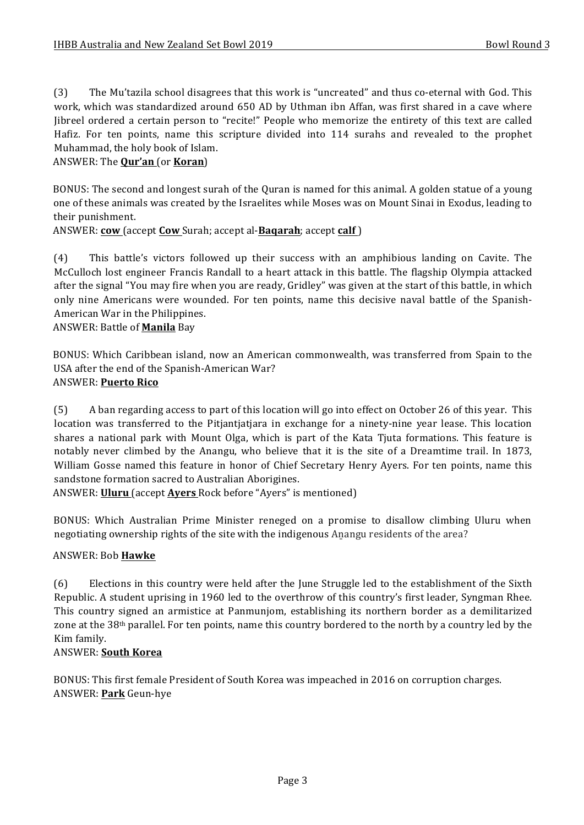(3) The Mu'tazila school disagrees that this work is "uncreated" and thus co-eternal with God. This work, which was standardized around 650 AD by Uthman ibn Affan, was first shared in a cave where Jibreel ordered a certain person to "recite!" People who memorize the entirety of this text are called Hafiz. For ten points, name this scripture divided into 114 surahs and revealed to the prophet Muhammad, the holy book of Islam.

#### ANSWER: The **Qur'an** (or **Koran**)

BONUS: The second and longest surah of the Ouran is named for this animal. A golden statue of a young one of these animals was created by the Israelites while Moses was on Mount Sinai in Exodus, leading to their punishment.

ANSWER: **cow** (accept **Cow** Surah; accept al-**Bagarah**; accept **calf**)

(4) This battle's victors followed up their success with an amphibious landing on Cavite. The McCulloch lost engineer Francis Randall to a heart attack in this battle. The flagship Olympia attacked after the signal "You may fire when you are ready, Gridley" was given at the start of this battle, in which only nine Americans were wounded. For ten points, name this decisive naval battle of the Spanish-American War in the Philippines.

#### ANSWER: Battle of **Manila** Bay

BONUS: Which Caribbean island, now an American commonwealth, was transferred from Spain to the USA after the end of the Spanish-American War? ANSWER: **Puerto Rico**

(5) A ban regarding access to part of this location will go into effect on October 26 of this year. This location was transferred to the Pitjantjatjara in exchange for a ninety-nine year lease. This location shares a national park with Mount Olga, which is part of the Kata Tjuta formations. This feature is notably never climbed by the Anangu, who believe that it is the site of a Dreamtime trail. In 1873, William Gosse named this feature in honor of Chief Secretary Henry Ayers. For ten points, name this sandstone formation sacred to Australian Aborigines.

ANSWER: **Uluru** (accept **Ayers** Rock before "Ayers" is mentioned)

BONUS: Which Australian Prime Minister reneged on a promise to disallow climbing Uluru when negotiating ownership rights of the site with the indigenous Anangu residents of the area?

#### ANSWER: Bob **Hawke**

(6) Elections in this country were held after the June Struggle led to the establishment of the Sixth Republic. A student uprising in 1960 led to the overthrow of this country's first leader, Syngman Rhee. This country signed an armistice at Panmunjom, establishing its northern border as a demilitarized zone at the  $38<sup>th</sup>$  parallel. For ten points, name this country bordered to the north by a country led by the Kim family.

#### ANSWER: **South Korea**

BONUS: This first female President of South Korea was impeached in 2016 on corruption charges. ANSWER: **Park** Geun-hye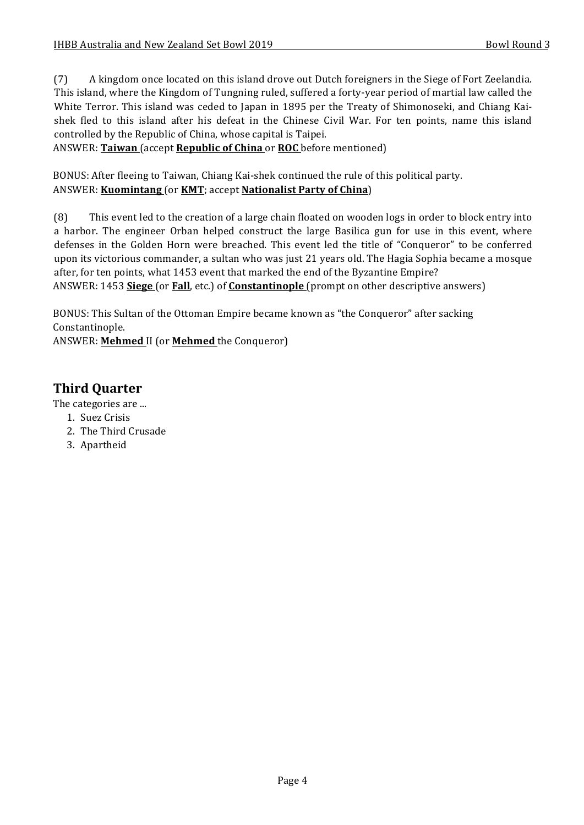(7) A kingdom once located on this island drove out Dutch foreigners in the Siege of Fort Zeelandia. This island, where the Kingdom of Tungning ruled, suffered a forty-year period of martial law called the White Terror. This island was ceded to Japan in 1895 per the Treaty of Shimonoseki, and Chiang Kaishek fled to this island after his defeat in the Chinese Civil War. For ten points, name this island controlled by the Republic of China, whose capital is Taipei.

ANSWER: Taiwan (accept Republic of China or ROC before mentioned)

BONUS: After fleeing to Taiwan, Chiang Kai-shek continued the rule of this political party. ANSWER: **Kuomintang** (or **KMT**; accept **Nationalist Party of China**)

(8) This event led to the creation of a large chain floated on wooden logs in order to block entry into a harbor. The engineer Orban helped construct the large Basilica gun for use in this event, where defenses in the Golden Horn were breached. This event led the title of "Conqueror" to be conferred upon its victorious commander, a sultan who was just 21 years old. The Hagia Sophia became a mosque after, for ten points, what 1453 event that marked the end of the Byzantine Empire? ANSWER: 1453 **Siege** (or **Fall**, etc.) of **Constantinople** (prompt on other descriptive answers)

BONUS: This Sultan of the Ottoman Empire became known as "the Conqueror" after sacking Constantinople.

ANSWER: Mehmed II (or Mehmed the Conqueror)

# **Third Quarter**

The categories are ...

- 1. Suez Crisis
- 2. The Third Crusade
- 3. Apartheid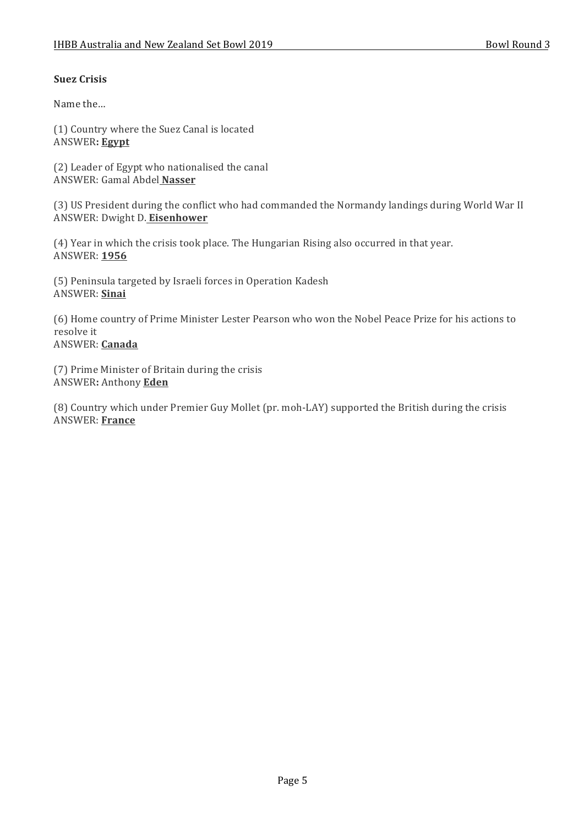## **Suez Crisis**

Name the...

(1) Country where the Suez Canal is located ANSWER**: Egypt**

(2) Leader of Egypt who nationalised the canal ANSWER: Gamal Abdel **Nasser**

(3) US President during the conflict who had commanded the Normandy landings during World War II ANSWER: Dwight D. **Eisenhower** 

(4) Year in which the crisis took place. The Hungarian Rising also occurred in that year. ANSWER: **1956**

(5) Peninsula targeted by Israeli forces in Operation Kadesh ANSWER: **Sinai**

(6) Home country of Prime Minister Lester Pearson who won the Nobel Peace Prize for his actions to resolve it ANSWER: **Canada**

(7) Prime Minister of Britain during the crisis ANSWER**:** Anthony **Eden**

(8) Country which under Premier Guy Mollet (pr. moh-LAY) supported the British during the crisis ANSWER: **France**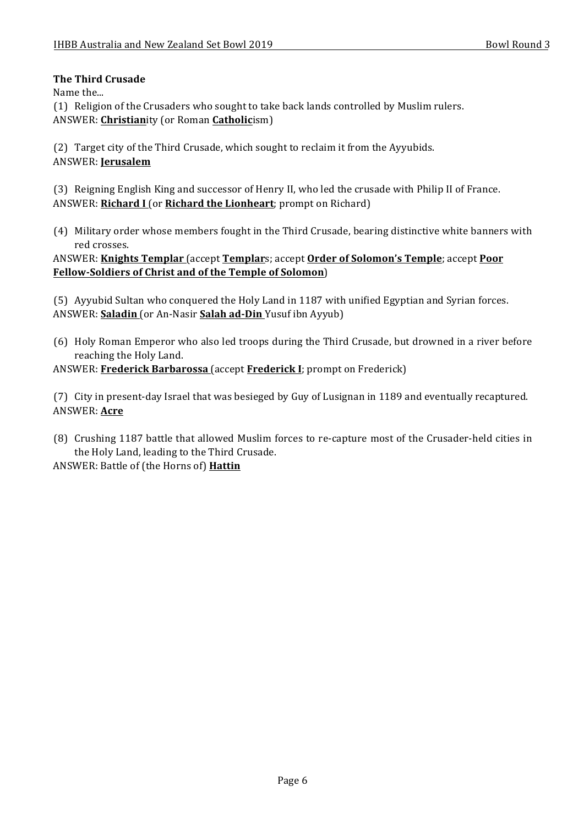## **The Third Crusade**

Name the...

(1) Religion of the Crusaders who sought to take back lands controlled by Muslim rulers. ANSWER: **Christianity** (or Roman **Catholic**ism)

(2) Target city of the Third Crusade, which sought to reclaim it from the Ayyubids. ANSWER: **Jerusalem**

(3) Reigning English King and successor of Henry II, who led the crusade with Philip II of France. ANSWER: **Richard I** (or **Richard the Lionheart**; prompt on Richard)

(4) Military order whose members fought in the Third Crusade, bearing distinctive white banners with red crosses.

ANSWER: **Knights Templar** (accept **Templar**s; accept **Order of Solomon's Temple**; accept **Poor Fellow-Soldiers of Christ and of the Temple of Solomon**)

(5) Ayyubid Sultan who conquered the Holy Land in 1187 with unified Egyptian and Syrian forces. ANSWER: **Saladin** (or An-Nasir **Salah ad-Din** Yusuf ibn Ayyub)

(6) Holy Roman Emperor who also led troops during the Third Crusade, but drowned in a river before reaching the Holy Land.

ANSWER: Frederick Barbarossa (accept Frederick I; prompt on Frederick)

(7) City in present-day Israel that was besieged by Guy of Lusignan in 1189 and eventually recaptured. ANSWER: **Acre**

(8) Crushing 1187 battle that allowed Muslim forces to re-capture most of the Crusader-held cities in the Holy Land, leading to the Third Crusade.

ANSWER: Battle of (the Horns of) Hattin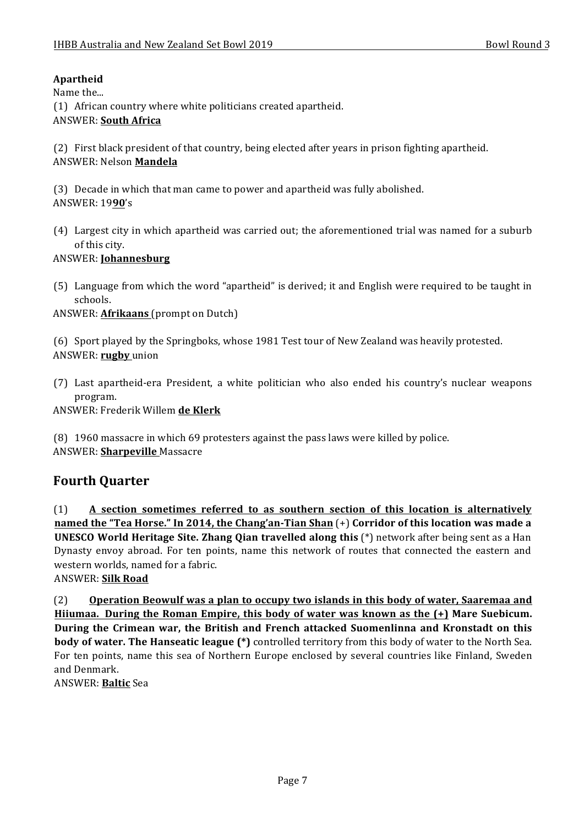# **Apartheid**

Name the...

(1) African country where white politicians created apartheid.

#### ANSWER: **South Africa**

(2) First black president of that country, being elected after years in prison fighting apartheid. ANSWER: Nelson **Mandela**

(3) Decade in which that man came to power and apartheid was fully abolished. ANSWER: 19**90**'s

(4) Largest city in which apartheid was carried out; the aforementioned trial was named for a suburb of this city.

#### ANSWER: **Johannesburg**

(5) Language from which the word "apartheid" is derived; it and English were required to be taught in schools.

ANSWER: **Afrikaans** (prompt on Dutch)

(6) Sport played by the Springboks, whose 1981 Test tour of New Zealand was heavily protested. ANSWER: rugby union

(7) Last apartheid-era President, a white politician who also ended his country's nuclear weapons program.

ANSWER: Frederik Willem **de Klerk**

(8) 1960 massacre in which 69 protesters against the pass laws were killed by police. ANSWER: **Sharpeville** Massacre

# **Fourth Quarter**

(1) A section sometimes referred to as southern section of this location is alternatively **named the "Tea Horse."** In 2014, the Chang'an-Tian Shan  $(+)$  Corridor of this location was made a **UNESCO World Heritage Site. Zhang Qian travelled along this** (\*) network after being sent as a Han Dynasty envoy abroad. For ten points, name this network of routes that connected the eastern and western worlds, named for a fabric.

# ANSWER: **Silk Road**

(2) Operation Beowulf was a plan to occupy two islands in this body of water, Saaremaa and **Hiiumaa.** During the Roman Empire, this body of water was known as the  $(+)$  Mare Suebicum. During the Crimean war, the British and French attacked Suomenlinna and Kronstadt on this **body of water. The Hanseatic league** (\*) controlled territory from this body of water to the North Sea. For ten points, name this sea of Northern Europe enclosed by several countries like Finland, Sweden and Denmark. 

ANSWER: **Baltic** Sea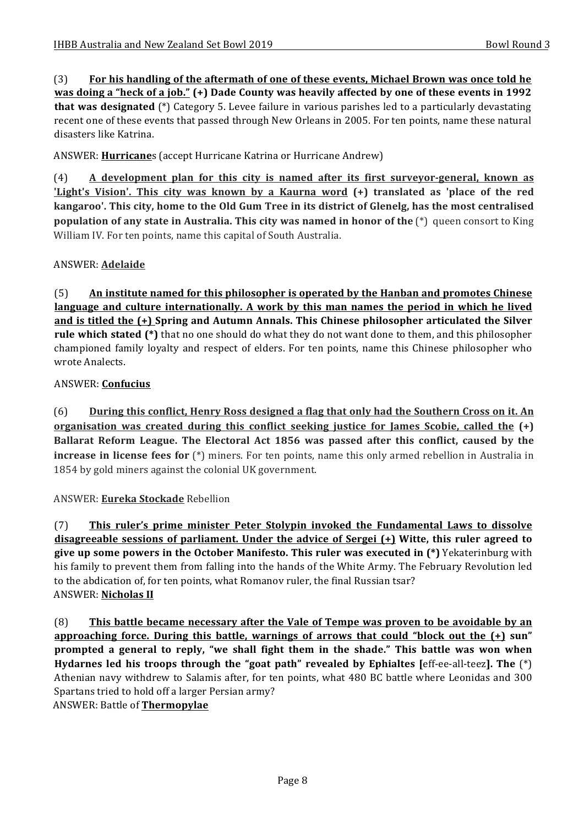(3) For his handling of the aftermath of one of these events, Michael Brown was once told he **was doing a "heck of a job."** (+) Dade County was heavily affected by one of these events in 1992 **that was designated** (\*) Category 5. Levee failure in various parishes led to a particularly devastating recent one of these events that passed through New Orleans in 2005. For ten points, name these natural disasters like Katrina.

ANSWER: **Hurricane**s (accept Hurricane Katrina or Hurricane Andrew)

(4) A development plan for this city is named after its first surveyor-general, known as **'Light's Vision'. This city was known by a Kaurna word (+) translated as 'place of the red** kangaroo'. This city, home to the Old Gum Tree in its district of Glenelg, has the most centralised **population of any state in Australia. This city was named in honor of the** (\*) queen consort to King William IV. For ten points, name this capital of South Australia.

# ANSWER: **Adelaide**

(5) **An** institute named for this philosopher is operated by the Hanban and promotes Chinese language and culture internationally. A work by this man names the period in which he lived and is titled the (+) Spring and Autumn Annals. This Chinese philosopher articulated the Silver **rule which stated (\*)** that no one should do what they do not want done to them, and this philosopher championed family loyalty and respect of elders. For ten points, name this Chinese philosopher who wrote Analects.

# ANSWER: **Confucius**

(6) **During this conflict, Henry Ross designed a flag that only had the Southern Cross on it. An <u>organisation was created during this conflict seeking justice for James Scobie, called the (+)</u> Ballarat Reform League. The Electoral Act 1856 was passed after this conflict, caused by the increase in license fees for** (\*) miners. For ten points, name this only armed rebellion in Australia in 1854 by gold miners against the colonial UK government.

# ANSWER: **Eureka Stockade** Rebellion

(7) This ruler's prime minister Peter Stolypin invoked the Fundamental Laws to dissolve **disagreeable sessions of parliament.** Under the advice of Sergei (+) Witte, this ruler agreed to **give up some powers in the October Manifesto. This ruler was executed in (\*)** Yekaterinburg with his family to prevent them from falling into the hands of the White Army. The February Revolution led to the abdication of, for ten points, what Romanov ruler, the final Russian tsar? ANSWER: **Nicholas II**

(8) **This battle became necessary after the Vale of Tempe was proven to be avoidable by an approaching force. During this battle, warnings of arrows that could "block out the**  $(+)$  **sun" prompted** a general to reply, "we shall fight them in the shade." This battle was won when **Hydarnes led his troops through the "goat path" revealed by Ephialtes [eff-ee-all-teez]. The**  $(*)$ Athenian navy withdrew to Salamis after, for ten points, what 480 BC battle where Leonidas and 300 Spartans tried to hold off a larger Persian army?

ANSWER: Battle of **Thermopylae**